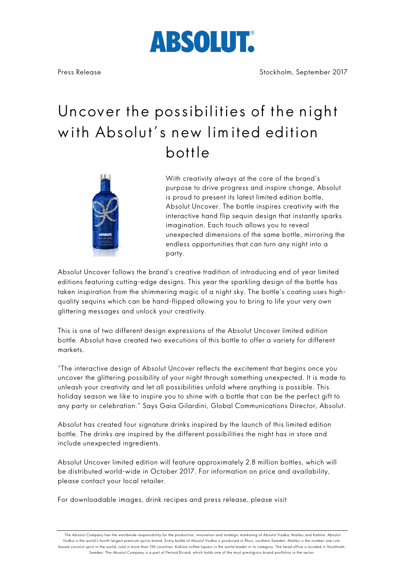# ABSOLUT

## Uncover the possibilities of the night with Absolut's new lim ited edition bottle



With creativity always at the core of the brand's purpose to drive progress and inspire change, Absolut is proud to present its latest limited edition bottle, Absolut Uncover. The bottle inspires creativity with the interactive hand flip sequin design that instantly sparks imagination. Each touch allows you to reveal unexpected dimensions of the same bottle, mirroring the endless opportunities that can turn any night into a party.

Absolut Uncover follows the brand's creative tradition of introducing end of year limited editions featuring cutting-edge designs. This year the sparkling design of the bottle has taken inspiration from the shimmering magic of a night sky. The bottle's coating uses highquality sequins which can be hand-flipped allowing you to bring to life your very own glittering messages and unlock your creativity.

This is one of two different design expressions of the Absolut Uncover limited edition bottle. Absolut have created two executions of this bottle to offer a variety for different markets.

"The interactive design of Absolut Uncover reflects the excitement that begins once you uncover the glittering possibility of your night through something unexpected. It is made to unleash your creativity and let all possibilities unfold where anything is possible. This holiday season we like to inspire you to shine with a bottle that can be the perfect gift to any party or celebration." Says Gaia Gilardini, Global Communications Director, Absolut.

Absolut has created four signature drinks inspired by the launch of this limited edition bottle. The drinks are inspired by the different possibilities the night has in store and include unexpected ingredients.

Absolut Uncover limited edition will feature approximately 2.8 million bottles, which will be distributed world-wide in October 2017. For information on price and availability, please contact your local retailer.

For downloadable images, drink recipes and press release, please visit

The Absolut Company has the worldwide responsibility for the production, innovation and strategic marketing of Absolut Vodka, Malibu and Kahlúa. Absolut Vodka is the world's fourth largest premium spirits brand. Every bottle of Absolut Vodka is produced in Åhus, southern Sweden. Malibu is the number one rumbased coconut spirit in the world, sold in more than 150 countries. Kahlúa coffee liqueur is the world leader in its category. The head office is located in Stockholm, Sweden. The Absolut Company is a part of Pernod Ricard, which holds one of the most prestigious brand portfolios in the sector.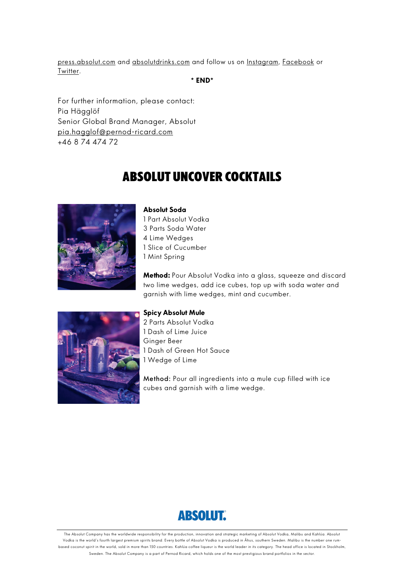press.absolut.com and absolutdrinks.com and follow us on Instagram, Facebook or Twitter.

**\* END\*** 

For further information, please contact: Pia Hägglöf Senior Global Brand Manager, Absolut pia.hagglof@pernod-ricard.com +46 8 74 474 72

### Absolut uncover Cocktails



**Absolut Soda** 1 Part Absolut Vodka 3 Parts Soda Water 4 Lime Wedges 1 Slice of Cucumber 1 Mint Spring

**Method:** Pour Absolut Vodka into a glass, squeeze and discard two lime wedges, add ice cubes, top up with soda water and garnish with lime wedges, mint and cucumber.



#### **Spicy Absolut Mule**

2 Parts Absolut Vodka 1 Dash of Lime Juice Ginger Beer 1 Dash of Green Hot Sauce 1 Wedge of Lime

Method: Pour all ingredients into a mule cup filled with ice cubes and garnish with a lime wedge.



The Absolut Company has the worldwide responsibility for the production, innovation and strategic marketing of Absolut Vodka, Malibu and Kahlúa. Absolut Vodka is the world's fourth largest premium spirits brand. Every bottle of Absolut Vodka is produced in Åhus, southern Sweden. Malibu is the number one rumbased coconut spirit in the world, sold in more than 150 countries. Kahlúa coffee liqueur is the world leader in its category. The head office is located in Stockholm, Sweden. The Absolut Company is a part of Pernod Ricard, which holds one of the most prestigious brand portfolios in the sector.